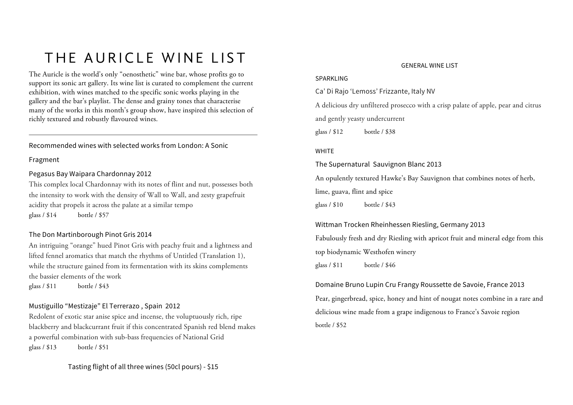# THE AURICLE WINE LIST

The Auricle is the world's only "oenosthetic" wine bar, whose profits go to support its sonic art gallery. Its wine list is curated to complement the current exhibition, with wines matched to the specific sonic works playing in the gallery and the bar's playlist. The dense and grainy tones that characterise many of the works in this month's group show, have inspired this selection of richly textured and robustly flavoured wines.

#### Recommended wines with selected works from London: A Sonic

#### Fragment

#### Pegasus Bay Waipara Chardonnay 2012

This complex local Chardonnay with its notes of flint and nut, possesses both the intensity to work with the density of Wall to Wall, and zesty grapefruit acidity that propels it across the palate at a similar tempo glass / \$14 bottle / \$57

#### The Don Martinborough Pinot Gris 2014

An intriguing "orange" hued Pinot Gris with peachy fruit and a lightness and lifted fennel aromatics that match the rhythms of Untitled (Translation 1), while the structure gained from its fermentation with its skins complements the bassier elements of the work glass / \$11 bottle / \$43

#### Mustiguillo "Mestizaje" El Terrerazo , Spain 2012

Redolent of exotic star anise spice and incense, the voluptuously rich, ripe blackberry and blackcurrant fruit if this concentrated Spanish red blend makes a powerful combination with sub-bass frequencies of National Grid glass / \$13 bottle / \$51

### Tasting flight of all three wines (50cl pours) - \$15

#### GENERAL WINE LIST

#### SPARKLING

Ca' Di Rajo 'Lemoss' Frizzante, Italy NV

A delicious dry unfiltered prosecco with a crisp palate of apple, pear and citrus and gently yeasty undercurrent

glass / \$12 bottle / \$38

#### WHITE

The Supernatural Sauvignon Blanc 2013

An opulently textured Hawke's Bay Sauvignon that combines notes of herb,

lime, guava, flint and spice

glass / \$10 bottle / \$43

#### Wittman Trocken Rheinhessen Riesling, Germany 2013

Fabulously fresh and dry Riesling with apricot fruit and mineral edge from this top biodynamic Westhofen winery glass / \$11 bottle / \$46

Domaine Bruno Lupin Cru Frangy Roussette de Savoie, France 2013 Pear, gingerbread, spice, honey and hint of nougat notes combine in a rare and delicious wine made from a grape indigenous to France's Savoie region bottle / \$52